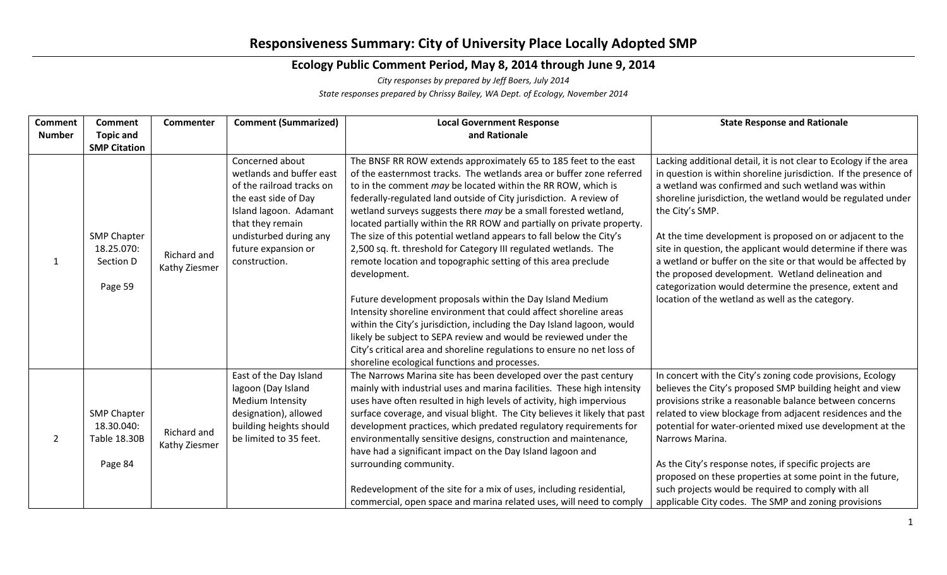## **Responsiveness Summary: City of University Place Locally Adopted SMP**

## **Ecology Public Comment Period, May 8, 2014 through June 9, 2014**

*City responses by prepared by Jeff Boers, July 2014*

*State responses prepared by Chrissy Bailey, WA Dept. of Ecology, November 2014*

| <b>Comment</b> | <b>Comment</b>                                              | Commenter                    | <b>Comment (Summarized)</b> | <b>Local Government Response</b>                                                                                                           | <b>State Response and Rationale</b>                               |
|----------------|-------------------------------------------------------------|------------------------------|-----------------------------|--------------------------------------------------------------------------------------------------------------------------------------------|-------------------------------------------------------------------|
| <b>Number</b>  | <b>Topic and</b>                                            |                              |                             | and Rationale                                                                                                                              |                                                                   |
|                | <b>SMP Citation</b>                                         |                              |                             |                                                                                                                                            |                                                                   |
|                | <b>SMP Chapter</b><br>18.25.070:<br>Section D<br>Page 59    | Richard and<br>Kathy Ziesmer | Concerned about             | The BNSF RR ROW extends approximately 65 to 185 feet to the east                                                                           | Lacking additional detail, it is not clear to Ecology if the area |
|                |                                                             |                              | wetlands and buffer east    | of the easternmost tracks. The wetlands area or buffer zone referred                                                                       | in question is within shoreline jurisdiction. If the presence of  |
|                |                                                             |                              | of the railroad tracks on   | to in the comment may be located within the RR ROW, which is                                                                               | a wetland was confirmed and such wetland was within               |
|                |                                                             |                              | the east side of Day        | federally-regulated land outside of City jurisdiction. A review of                                                                         | shoreline jurisdiction, the wetland would be regulated under      |
|                |                                                             |                              | Island lagoon. Adamant      | wetland surveys suggests there may be a small forested wetland,                                                                            | the City's SMP.                                                   |
|                |                                                             |                              | that they remain            | located partially within the RR ROW and partially on private property.                                                                     |                                                                   |
|                |                                                             |                              | undisturbed during any      | The size of this potential wetland appears to fall below the City's                                                                        | At the time development is proposed on or adjacent to the         |
|                |                                                             |                              | future expansion or         | 2,500 sq. ft. threshold for Category III regulated wetlands. The                                                                           | site in question, the applicant would determine if there was      |
|                |                                                             |                              | construction.               | remote location and topographic setting of this area preclude                                                                              | a wetland or buffer on the site or that would be affected by      |
|                |                                                             |                              |                             | development.                                                                                                                               | the proposed development. Wetland delineation and                 |
|                |                                                             |                              |                             |                                                                                                                                            | categorization would determine the presence, extent and           |
|                |                                                             |                              |                             | Future development proposals within the Day Island Medium                                                                                  | location of the wetland as well as the category.                  |
|                |                                                             |                              |                             | Intensity shoreline environment that could affect shoreline areas                                                                          |                                                                   |
|                |                                                             |                              |                             | within the City's jurisdiction, including the Day Island lagoon, would<br>likely be subject to SEPA review and would be reviewed under the |                                                                   |
|                |                                                             |                              |                             | City's critical area and shoreline regulations to ensure no net loss of                                                                    |                                                                   |
|                |                                                             |                              |                             | shoreline ecological functions and processes.                                                                                              |                                                                   |
|                |                                                             |                              | East of the Day Island      | The Narrows Marina site has been developed over the past century                                                                           | In concert with the City's zoning code provisions, Ecology        |
|                | <b>SMP Chapter</b><br>18.30.040:<br>Table 18.30B<br>Page 84 | Richard and<br>Kathy Ziesmer | lagoon (Day Island          | mainly with industrial uses and marina facilities. These high intensity                                                                    | believes the City's proposed SMP building height and view         |
|                |                                                             |                              | Medium Intensity            | uses have often resulted in high levels of activity, high impervious                                                                       | provisions strike a reasonable balance between concerns           |
| 2              |                                                             |                              | designation), allowed       | surface coverage, and visual blight. The City believes it likely that past                                                                 | related to view blockage from adjacent residences and the         |
|                |                                                             |                              | building heights should     | development practices, which predated regulatory requirements for                                                                          | potential for water-oriented mixed use development at the         |
|                |                                                             |                              | be limited to 35 feet.      | environmentally sensitive designs, construction and maintenance,                                                                           | Narrows Marina.                                                   |
|                |                                                             |                              |                             | have had a significant impact on the Day Island lagoon and                                                                                 |                                                                   |
|                |                                                             |                              |                             | surrounding community.                                                                                                                     | As the City's response notes, if specific projects are            |
|                |                                                             |                              |                             |                                                                                                                                            | proposed on these properties at some point in the future,         |
|                |                                                             |                              |                             | Redevelopment of the site for a mix of uses, including residential,                                                                        | such projects would be required to comply with all                |
|                |                                                             |                              |                             | commercial, open space and marina related uses, will need to comply                                                                        | applicable City codes. The SMP and zoning provisions              |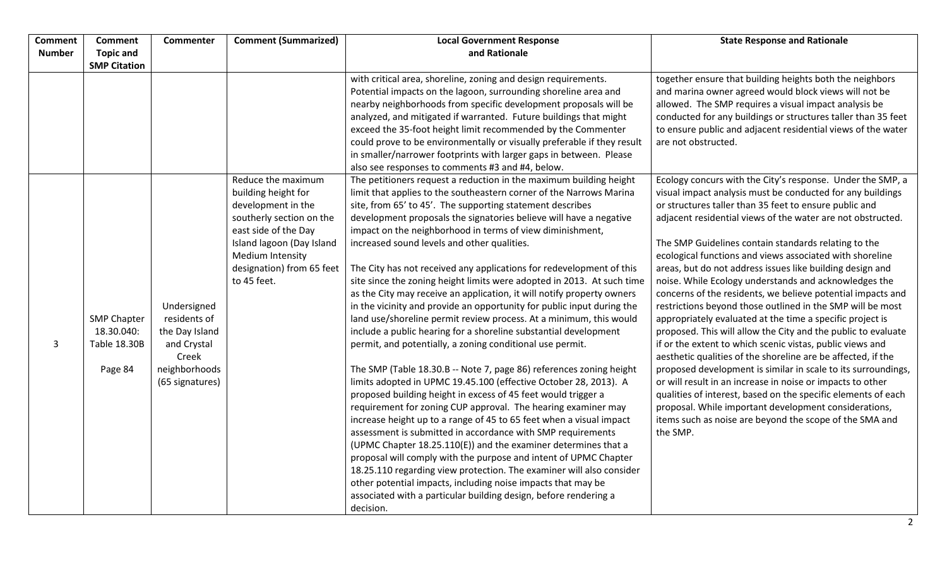| <b>Comment</b> | <b>Comment</b>      | Commenter       | <b>Comment (Summarized)</b>                       | <b>Local Government Response</b>                                                                                              | <b>State Response and Rationale</b>                           |
|----------------|---------------------|-----------------|---------------------------------------------------|-------------------------------------------------------------------------------------------------------------------------------|---------------------------------------------------------------|
| <b>Number</b>  | <b>Topic and</b>    |                 |                                                   | and Rationale                                                                                                                 |                                                               |
|                | <b>SMP Citation</b> |                 |                                                   |                                                                                                                               |                                                               |
|                |                     |                 |                                                   | with critical area, shoreline, zoning and design requirements.                                                                | together ensure that building heights both the neighbors      |
|                |                     |                 |                                                   | Potential impacts on the lagoon, surrounding shoreline area and                                                               | and marina owner agreed would block views will not be         |
|                |                     |                 |                                                   | nearby neighborhoods from specific development proposals will be                                                              | allowed. The SMP requires a visual impact analysis be         |
|                |                     |                 |                                                   | analyzed, and mitigated if warranted. Future buildings that might                                                             | conducted for any buildings or structures taller than 35 feet |
|                |                     |                 |                                                   | exceed the 35-foot height limit recommended by the Commenter                                                                  | to ensure public and adjacent residential views of the water  |
|                |                     |                 |                                                   | could prove to be environmentally or visually preferable if they result                                                       | are not obstructed.                                           |
|                |                     |                 |                                                   | in smaller/narrower footprints with larger gaps in between. Please                                                            |                                                               |
|                |                     |                 |                                                   | also see responses to comments #3 and #4, below.                                                                              |                                                               |
|                |                     |                 | Reduce the maximum                                | The petitioners request a reduction in the maximum building height                                                            | Ecology concurs with the City's response. Under the SMP, a    |
|                |                     |                 | building height for                               | limit that applies to the southeastern corner of the Narrows Marina                                                           | visual impact analysis must be conducted for any buildings    |
|                |                     |                 | development in the                                | site, from 65' to 45'. The supporting statement describes                                                                     | or structures taller than 35 feet to ensure public and        |
|                |                     |                 | southerly section on the                          | development proposals the signatories believe will have a negative                                                            | adjacent residential views of the water are not obstructed.   |
|                |                     |                 | east side of the Day<br>Island lagoon (Day Island | impact on the neighborhood in terms of view diminishment,<br>increased sound levels and other qualities.                      | The SMP Guidelines contain standards relating to the          |
|                |                     |                 | Medium Intensity                                  |                                                                                                                               | ecological functions and views associated with shoreline      |
|                |                     |                 | designation) from 65 feet                         | The City has not received any applications for redevelopment of this                                                          | areas, but do not address issues like building design and     |
|                |                     |                 | to 45 feet.                                       | site since the zoning height limits were adopted in 2013. At such time                                                        | noise. While Ecology understands and acknowledges the         |
|                |                     |                 |                                                   | as the City may receive an application, it will notify property owners                                                        | concerns of the residents, we believe potential impacts and   |
|                |                     | Undersigned     |                                                   | in the vicinity and provide an opportunity for public input during the                                                        | restrictions beyond those outlined in the SMP will be most    |
|                | <b>SMP Chapter</b>  | residents of    |                                                   | land use/shoreline permit review process. At a minimum, this would                                                            | appropriately evaluated at the time a specific project is     |
|                | 18.30.040:          | the Day Island  |                                                   | include a public hearing for a shoreline substantial development                                                              | proposed. This will allow the City and the public to evaluate |
| 3              | <b>Table 18.30B</b> | and Crystal     |                                                   | permit, and potentially, a zoning conditional use permit.                                                                     | if or the extent to which scenic vistas, public views and     |
|                |                     | Creek           |                                                   |                                                                                                                               | aesthetic qualities of the shoreline are be affected, if the  |
|                | Page 84             | neighborhoods   |                                                   | The SMP (Table 18.30.B -- Note 7, page 86) references zoning height                                                           | proposed development is similar in scale to its surroundings, |
|                |                     | (65 signatures) |                                                   | limits adopted in UPMC 19.45.100 (effective October 28, 2013). A                                                              | or will result in an increase in noise or impacts to other    |
|                |                     |                 |                                                   | proposed building height in excess of 45 feet would trigger a                                                                 | qualities of interest, based on the specific elements of each |
|                |                     |                 |                                                   | requirement for zoning CUP approval. The hearing examiner may                                                                 | proposal. While important development considerations,         |
|                |                     |                 |                                                   | increase height up to a range of 45 to 65 feet when a visual impact                                                           | items such as noise are beyond the scope of the SMA and       |
|                |                     |                 |                                                   | assessment is submitted in accordance with SMP requirements<br>(UPMC Chapter 18.25.110(E)) and the examiner determines that a | the SMP.                                                      |
|                |                     |                 |                                                   | proposal will comply with the purpose and intent of UPMC Chapter                                                              |                                                               |
|                |                     |                 |                                                   | 18.25.110 regarding view protection. The examiner will also consider                                                          |                                                               |
|                |                     |                 |                                                   | other potential impacts, including noise impacts that may be                                                                  |                                                               |
|                |                     |                 |                                                   | associated with a particular building design, before rendering a                                                              |                                                               |
|                |                     |                 |                                                   | decision.                                                                                                                     |                                                               |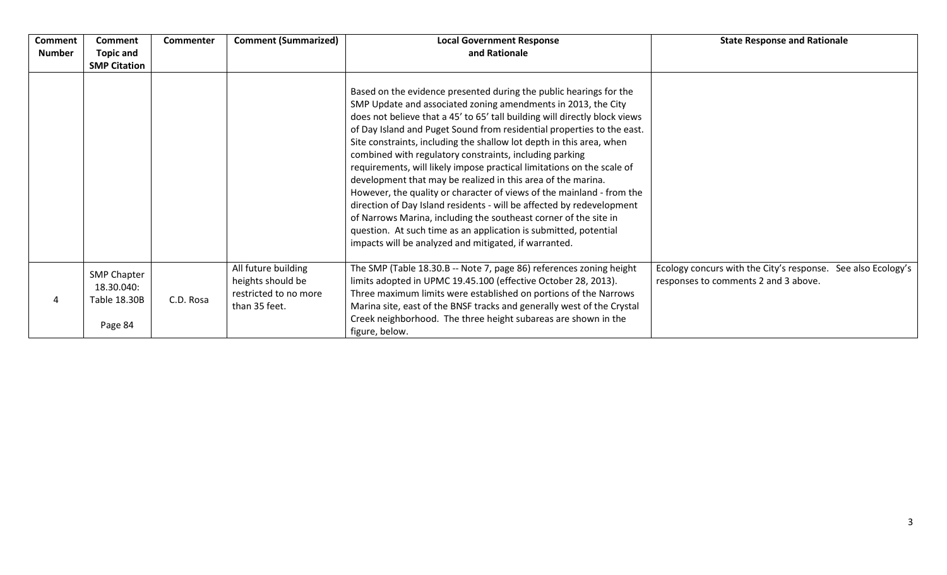| <b>Comment</b> | <b>Comment</b>                                              | <b>Commenter</b> | <b>Comment (Summarized)</b>                                                        | <b>Local Government Response</b>                                                                                                                                                                                                                                                                                                                                                                                                                                                                                                                                                                                                                                                                                                                                                                                                                                                                                            | <b>State Response and Rationale</b>                                                                  |
|----------------|-------------------------------------------------------------|------------------|------------------------------------------------------------------------------------|-----------------------------------------------------------------------------------------------------------------------------------------------------------------------------------------------------------------------------------------------------------------------------------------------------------------------------------------------------------------------------------------------------------------------------------------------------------------------------------------------------------------------------------------------------------------------------------------------------------------------------------------------------------------------------------------------------------------------------------------------------------------------------------------------------------------------------------------------------------------------------------------------------------------------------|------------------------------------------------------------------------------------------------------|
| <b>Number</b>  | <b>Topic and</b>                                            |                  |                                                                                    | and Rationale                                                                                                                                                                                                                                                                                                                                                                                                                                                                                                                                                                                                                                                                                                                                                                                                                                                                                                               |                                                                                                      |
|                | <b>SMP Citation</b>                                         |                  |                                                                                    |                                                                                                                                                                                                                                                                                                                                                                                                                                                                                                                                                                                                                                                                                                                                                                                                                                                                                                                             |                                                                                                      |
|                |                                                             |                  |                                                                                    | Based on the evidence presented during the public hearings for the<br>SMP Update and associated zoning amendments in 2013, the City<br>does not believe that a 45' to 65' tall building will directly block views<br>of Day Island and Puget Sound from residential properties to the east.<br>Site constraints, including the shallow lot depth in this area, when<br>combined with regulatory constraints, including parking<br>requirements, will likely impose practical limitations on the scale of<br>development that may be realized in this area of the marina.<br>However, the quality or character of views of the mainland - from the<br>direction of Day Island residents - will be affected by redevelopment<br>of Narrows Marina, including the southeast corner of the site in<br>question. At such time as an application is submitted, potential<br>impacts will be analyzed and mitigated, if warranted. |                                                                                                      |
|                | <b>SMP Chapter</b><br>18.30.040:<br>Table 18.30B<br>Page 84 | C.D. Rosa        | All future building<br>heights should be<br>restricted to no more<br>than 35 feet. | The SMP (Table 18.30.B -- Note 7, page 86) references zoning height<br>limits adopted in UPMC 19.45.100 (effective October 28, 2013).<br>Three maximum limits were established on portions of the Narrows<br>Marina site, east of the BNSF tracks and generally west of the Crystal<br>Creek neighborhood. The three height subareas are shown in the<br>figure, below.                                                                                                                                                                                                                                                                                                                                                                                                                                                                                                                                                     | Ecology concurs with the City's response. See also Ecology's<br>responses to comments 2 and 3 above. |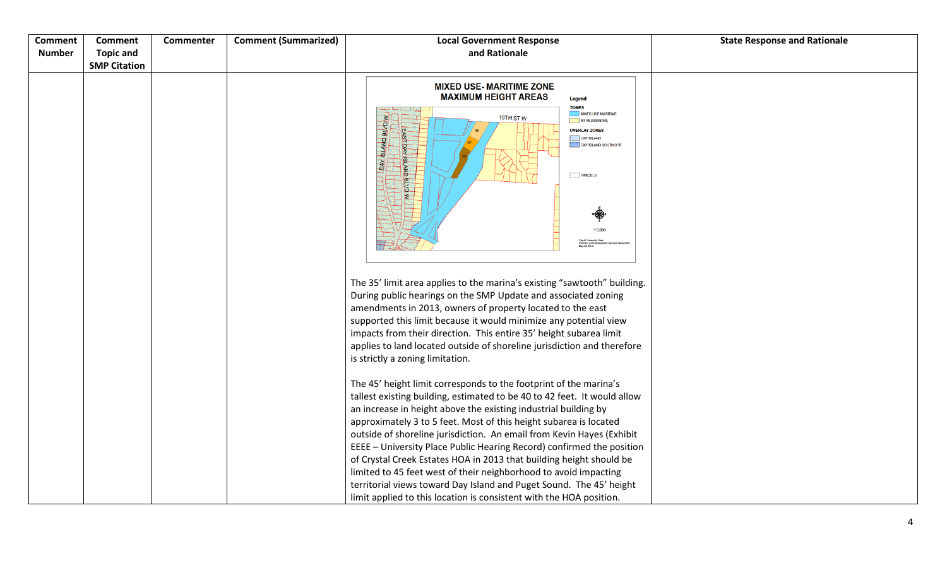| <b>Comment</b><br><b>Number</b> | <b>Comment</b><br><b>Topic and</b><br><b>SMP Citation</b> | Commenter | <b>Comment (Summarized)</b> | <b>Local Government Response</b><br>and Rationale                                                                                                                                                                                                                                                                                                                                                                                                                                                                                                                                                                                                           | <b>State Response and Rationale</b> |
|---------------------------------|-----------------------------------------------------------|-----------|-----------------------------|-------------------------------------------------------------------------------------------------------------------------------------------------------------------------------------------------------------------------------------------------------------------------------------------------------------------------------------------------------------------------------------------------------------------------------------------------------------------------------------------------------------------------------------------------------------------------------------------------------------------------------------------------------------|-------------------------------------|
|                                 |                                                           |           |                             | <b>MIXED USE- MARITIME ZONE</b><br><b>MAXIMUM HEIGHT AREAS</b><br>Legend<br><b>ZONES</b><br><b>MIXED USE MARITIME</b><br>19TH STW<br>R1 RESIDENTIAL<br><b>DAY ISLAND BLVD</b><br><b>OVERLAY ZONES</b><br>DAY ISLAND<br>DAY ISLAND SOUTH SPIT<br>á<br><b>PARCELS</b><br><b>BLVD</b><br>1ź<br>1:3,000<br>City of Universit<br>Planning and D<br>May 30, 2013                                                                                                                                                                                                                                                                                                  |                                     |
|                                 |                                                           |           |                             | The 35' limit area applies to the marina's existing "sawtooth" building.<br>During public hearings on the SMP Update and associated zoning<br>amendments in 2013, owners of property located to the east<br>supported this limit because it would minimize any potential view<br>impacts from their direction. This entire 35' height subarea limit<br>applies to land located outside of shoreline jurisdiction and therefore<br>is strictly a zoning limitation.<br>The 45' height limit corresponds to the footprint of the marina's                                                                                                                     |                                     |
|                                 |                                                           |           |                             | tallest existing building, estimated to be 40 to 42 feet. It would allow<br>an increase in height above the existing industrial building by<br>approximately 3 to 5 feet. Most of this height subarea is located<br>outside of shoreline jurisdiction. An email from Kevin Hayes (Exhibit<br>EEEE - University Place Public Hearing Record) confirmed the position<br>of Crystal Creek Estates HOA in 2013 that building height should be<br>limited to 45 feet west of their neighborhood to avoid impacting<br>territorial views toward Day Island and Puget Sound. The 45' height<br>limit applied to this location is consistent with the HOA position. |                                     |